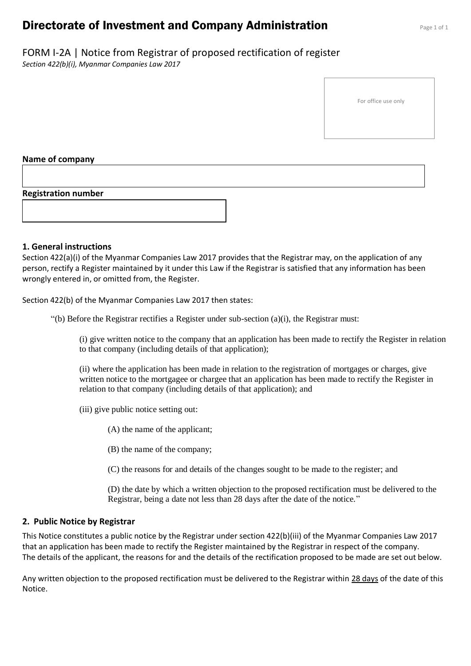## **Directorate of Investment and Company Administration** Page 1 of 1

# FORM I-2A | Notice from Registrar of proposed rectification of register

*Section 422(b)(i), Myanmar Companies Law 2017*

For office use only

#### **Name of company**

#### **Registration number**



#### **1. General instructions**

Section 422(a)(i) of the Myanmar Companies Law 2017 provides that the Registrar may, on the application of any person, rectify a Register maintained by it under this Law if the Registrar is satisfied that any information has been wrongly entered in, or omitted from, the Register.

Section 422(b) of the Myanmar Companies Law 2017 then states:

"(b) Before the Registrar rectifies a Register under sub-section  $(a)(i)$ , the Registrar must:

(i) give written notice to the company that an application has been made to rectify the Register in relation to that company (including details of that application);

(ii) where the application has been made in relation to the registration of mortgages or charges, give written notice to the mortgagee or chargee that an application has been made to rectify the Register in relation to that company (including details of that application); and

(iii) give public notice setting out:

(A) the name of the applicant;

(B) the name of the company;

(C) the reasons for and details of the changes sought to be made to the register; and

(D) the date by which a written objection to the proposed rectification must be delivered to the Registrar, being a date not less than 28 days after the date of the notice."

#### **2. Public Notice by Registrar**

This Notice constitutes a public notice by the Registrar under section 422(b)(iii) of the Myanmar Companies Law 2017 that an application has been made to rectify the Register maintained by the Registrar in respect of the company. The details of the applicant, the reasons for and the details of the rectification proposed to be made are set out below.

Any written objection to the proposed rectification must be delivered to the Registrar within 28 days of the date of this Notice.